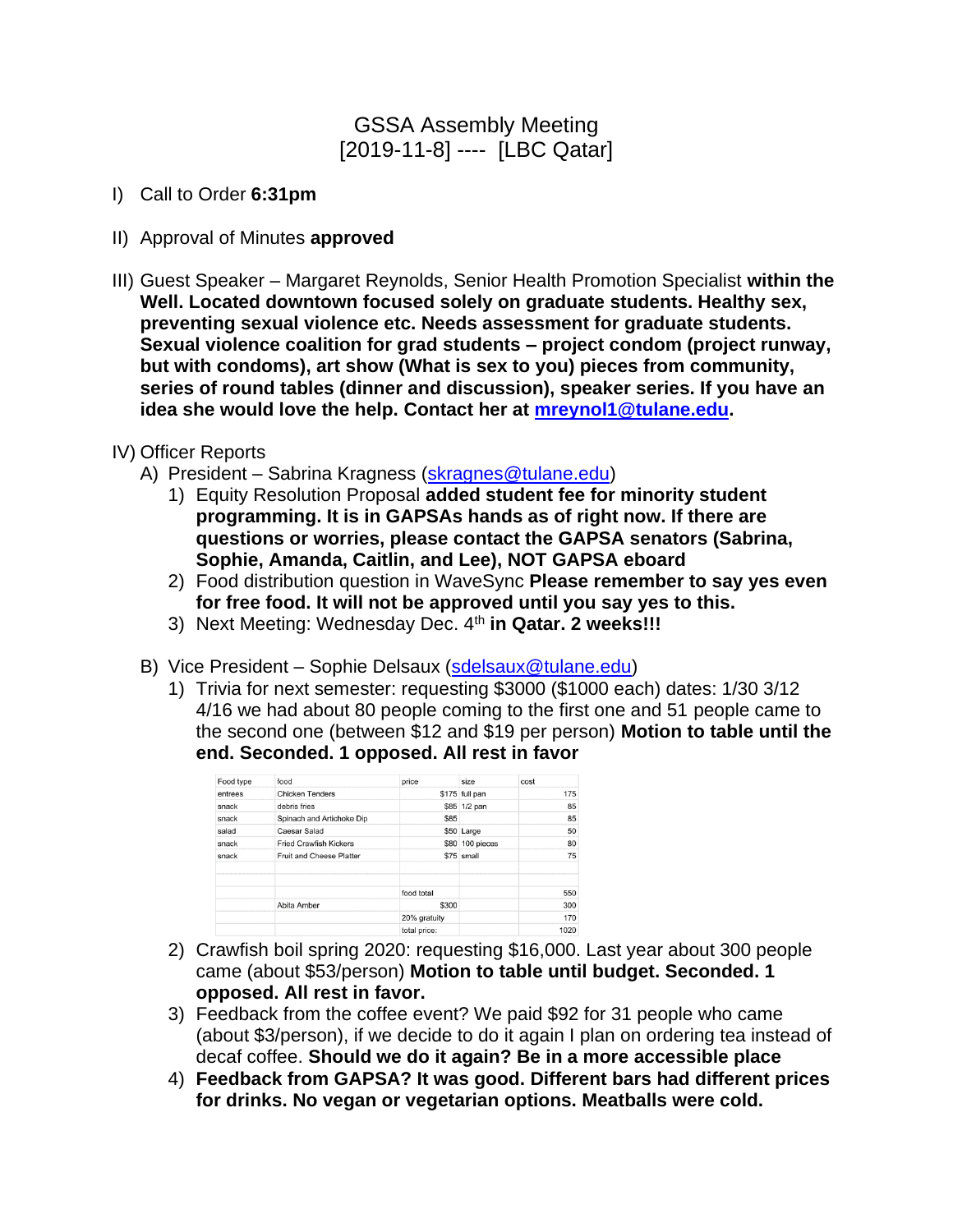### GSSA Assembly Meeting [2019-11-8] ---- [LBC Qatar]

- I) Call to Order **6:31pm**
- II) Approval of Minutes **approved**
- III) Guest Speaker Margaret Reynolds, Senior Health Promotion Specialist **within the Well. Located downtown focused solely on graduate students. Healthy sex, preventing sexual violence etc. Needs assessment for graduate students. Sexual violence coalition for grad students – project condom (project runway, but with condoms), art show (What is sex to you) pieces from community, series of round tables (dinner and discussion), speaker series. If you have an idea she would love the help. Contact her at [mreynol1@tulane.edu.](mailto:mreynol1@tulane.edu)**
- IV) Officer Reports
	- A) President Sabrina Kragness [\(skragnes@tulane.edu\)](mailto:skragnes@tulane.edu)
		- 1) Equity Resolution Proposal **added student fee for minority student programming. It is in GAPSAs hands as of right now. If there are questions or worries, please contact the GAPSA senators (Sabrina, Sophie, Amanda, Caitlin, and Lee), NOT GAPSA eboard**
		- 2) Food distribution question in WaveSync **Please remember to say yes even for free food. It will not be approved until you say yes to this.**
		- 3) Next Meeting: Wednesday Dec. 4<sup>th</sup> in Qatar. 2 weeks!!!
	- B) Vice President Sophie Delsaux [\(sdelsaux@tulane.edu\)](mailto:sdelsaux@tulane.edu)
		- 1) Trivia for next semester: requesting \$3000 (\$1000 each) dates: 1/30 3/12 4/16 we had about 80 people coming to the first one and 51 people came to the second one (between \$12 and \$19 per person) **Motion to table until the end. Seconded. 1 opposed. All rest in favor**

| Food type | food                          | price        | size            | cost |
|-----------|-------------------------------|--------------|-----------------|------|
| entrees   | <b>Chicken Tenders</b>        |              | \$175 full pan  | 175  |
| snack     | debris fries                  |              | \$85 1/2 pan    | 85   |
| snack     | Spinach and Artichoke Dip     | \$85         |                 | 85   |
| salad     | <b>Caesar Salad</b>           |              | \$50 Large      | 50   |
| snack     | <b>Fried Crawfish Kickers</b> |              | \$80 100 pieces | 80   |
| snack     | Fruit and Cheese Platter      |              | \$75 small      | 75   |
|           |                               | food total   |                 | 550  |
|           | Abita Amber                   | \$300        |                 | 300  |
|           |                               | 20% gratuity |                 | 170  |
|           |                               | total price: |                 | 1020 |

- 2) Crawfish boil spring 2020: requesting \$16,000. Last year about 300 people came (about \$53/person) **Motion to table until budget. Seconded. 1 opposed. All rest in favor.**
- 3) Feedback from the coffee event? We paid \$92 for 31 people who came (about \$3/person), if we decide to do it again I plan on ordering tea instead of decaf coffee. **Should we do it again? Be in a more accessible place**
- 4) **Feedback from GAPSA? It was good. Different bars had different prices for drinks. No vegan or vegetarian options. Meatballs were cold.**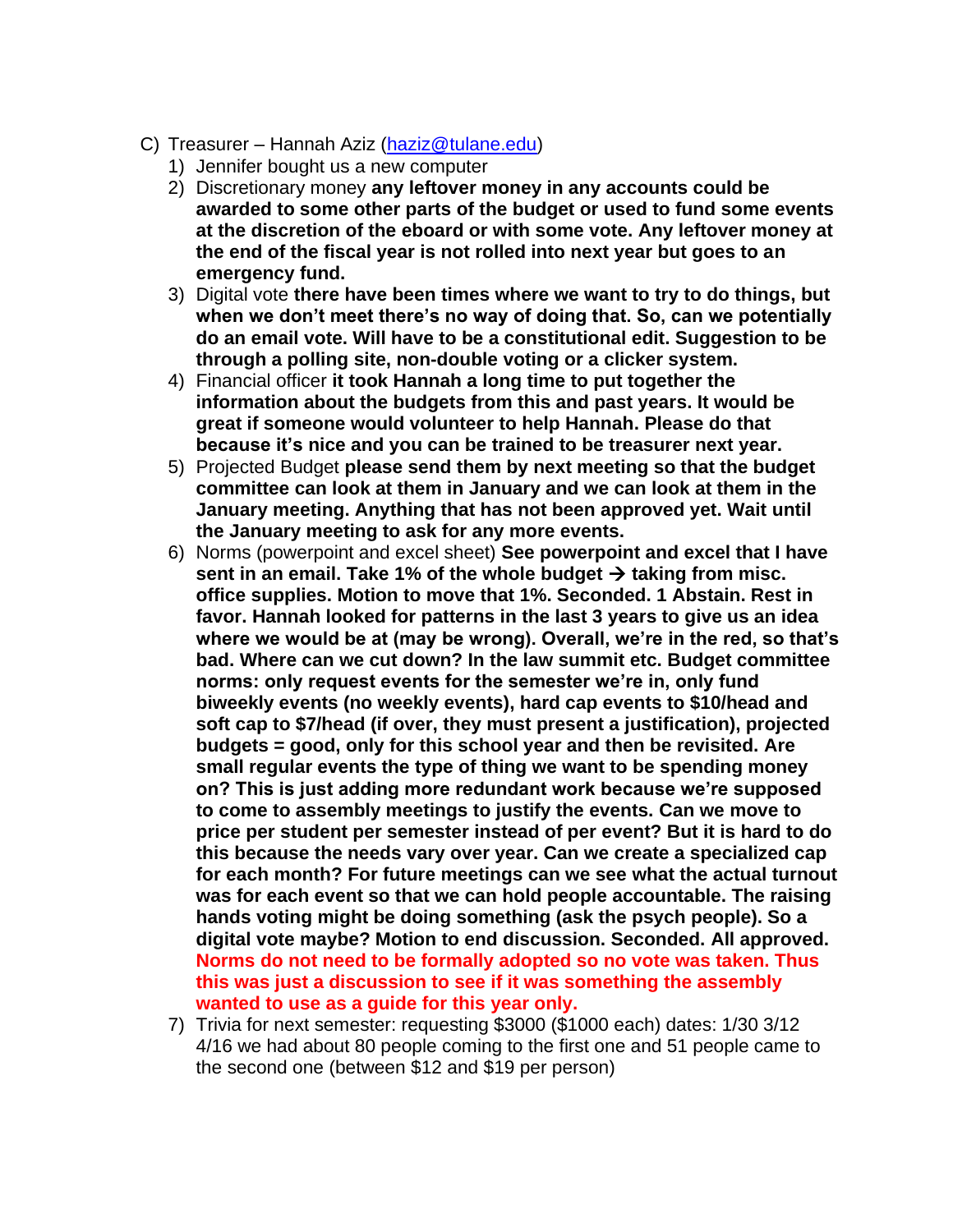- C) Treasurer Hannah Aziz [\(haziz@tulane.edu\)](mailto:haziz@tulane.edu)
	- 1) Jennifer bought us a new computer
	- 2) Discretionary money **any leftover money in any accounts could be awarded to some other parts of the budget or used to fund some events at the discretion of the eboard or with some vote. Any leftover money at the end of the fiscal year is not rolled into next year but goes to an emergency fund.**
	- 3) Digital vote **there have been times where we want to try to do things, but when we don't meet there's no way of doing that. So, can we potentially do an email vote. Will have to be a constitutional edit. Suggestion to be through a polling site, non-double voting or a clicker system.**
	- 4) Financial officer **it took Hannah a long time to put together the information about the budgets from this and past years. It would be great if someone would volunteer to help Hannah. Please do that because it's nice and you can be trained to be treasurer next year.**
	- 5) Projected Budget **please send them by next meeting so that the budget committee can look at them in January and we can look at them in the January meeting. Anything that has not been approved yet. Wait until the January meeting to ask for any more events.**
	- 6) Norms (powerpoint and excel sheet) **See powerpoint and excel that I have**  sent in an email. Take 1% of the whole budget → taking from misc. **office supplies. Motion to move that 1%. Seconded. 1 Abstain. Rest in favor. Hannah looked for patterns in the last 3 years to give us an idea where we would be at (may be wrong). Overall, we're in the red, so that's bad. Where can we cut down? In the law summit etc. Budget committee norms: only request events for the semester we're in, only fund biweekly events (no weekly events), hard cap events to \$10/head and soft cap to \$7/head (if over, they must present a justification), projected budgets = good, only for this school year and then be revisited. Are small regular events the type of thing we want to be spending money on? This is just adding more redundant work because we're supposed to come to assembly meetings to justify the events. Can we move to price per student per semester instead of per event? But it is hard to do this because the needs vary over year. Can we create a specialized cap for each month? For future meetings can we see what the actual turnout was for each event so that we can hold people accountable. The raising hands voting might be doing something (ask the psych people). So a digital vote maybe? Motion to end discussion. Seconded. All approved. Norms do not need to be formally adopted so no vote was taken. Thus this was just a discussion to see if it was something the assembly wanted to use as a guide for this year only.**
	- 7) Trivia for next semester: requesting \$3000 (\$1000 each) dates: 1/30 3/12 4/16 we had about 80 people coming to the first one and 51 people came to the second one (between \$12 and \$19 per person)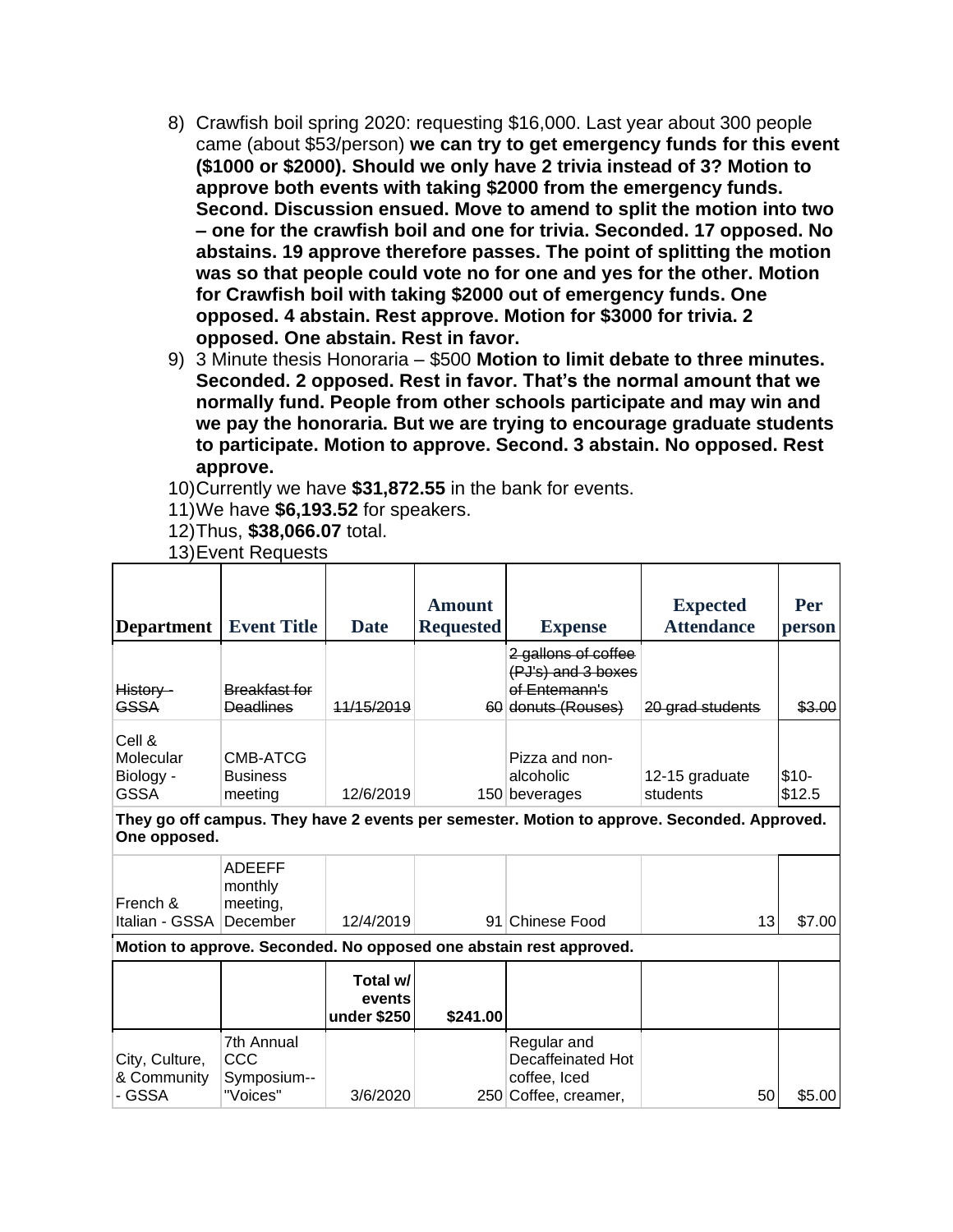- 8) Crawfish boil spring 2020: requesting \$16,000. Last year about 300 people came (about \$53/person) **we can try to get emergency funds for this event (\$1000 or \$2000). Should we only have 2 trivia instead of 3? Motion to approve both events with taking \$2000 from the emergency funds. Second. Discussion ensued. Move to amend to split the motion into two – one for the crawfish boil and one for trivia. Seconded. 17 opposed. No abstains. 19 approve therefore passes. The point of splitting the motion was so that people could vote no for one and yes for the other. Motion for Crawfish boil with taking \$2000 out of emergency funds. One opposed. 4 abstain. Rest approve. Motion for \$3000 for trivia. 2 opposed. One abstain. Rest in favor.**
- 9) 3 Minute thesis Honoraria \$500 **Motion to limit debate to three minutes. Seconded. 2 opposed. Rest in favor. That's the normal amount that we normally fund. People from other schools participate and may win and we pay the honoraria. But we are trying to encourage graduate students to participate. Motion to approve. Second. 3 abstain. No opposed. Rest approve.**
- 10)Currently we have **\$31,872.55** in the bank for events.
- 11)We have **\$6,193.52** for speakers.
- 12)Thus, **\$38,066.07** total.

|  |  | 13) Event Requests |
|--|--|--------------------|

| <b>Department</b>                               | <b>Event Title</b>                               | <b>Date</b>                       | <b>Amount</b><br><b>Requested</b> | <b>Expense</b>                                                                   | <b>Expected</b><br><b>Attendance</b>                                                        | Per<br>person    |
|-------------------------------------------------|--------------------------------------------------|-----------------------------------|-----------------------------------|----------------------------------------------------------------------------------|---------------------------------------------------------------------------------------------|------------------|
| History -<br><b>GSSA</b>                        | <b>Breakfast for</b><br><b>Deadlines</b>         | 11/15/2019                        |                                   | 2 gallons of coffee<br>(PJ's) and 3 boxes<br>of Entemann's<br>60 donuts (Rouses) | 20 grad students                                                                            | \$3.00           |
| Cell &<br>Molecular<br>Biology -<br><b>GSSA</b> | CMB-ATCG<br><b>Business</b><br>meeting           | 12/6/2019                         |                                   | Pizza and non-<br>alcoholic<br>150 beverages                                     | 12-15 graduate<br>students                                                                  | $$10-$<br>\$12.5 |
| One opposed.                                    |                                                  |                                   |                                   |                                                                                  | They go off campus. They have 2 events per semester. Motion to approve. Seconded. Approved. |                  |
| French &<br>Italian - GSSA                      | <b>ADEEFF</b><br>monthly<br>meeting,<br>December | 12/4/2019                         | 91                                | Chinese Food                                                                     | 13                                                                                          | \$7.00           |
|                                                 |                                                  |                                   |                                   | Motion to approve. Seconded. No opposed one abstain rest approved.               |                                                                                             |                  |
|                                                 |                                                  | Total w/<br>events<br>under \$250 | \$241.00                          |                                                                                  |                                                                                             |                  |
| City, Culture,<br>& Community<br>- GSSA         | 7th Annual<br>CCC<br>Symposium--<br>"Voices"     | 3/6/2020                          |                                   | Regular and<br>Decaffeinated Hot<br>coffee, Iced<br>250 Coffee, creamer,         | 50                                                                                          | \$5.00           |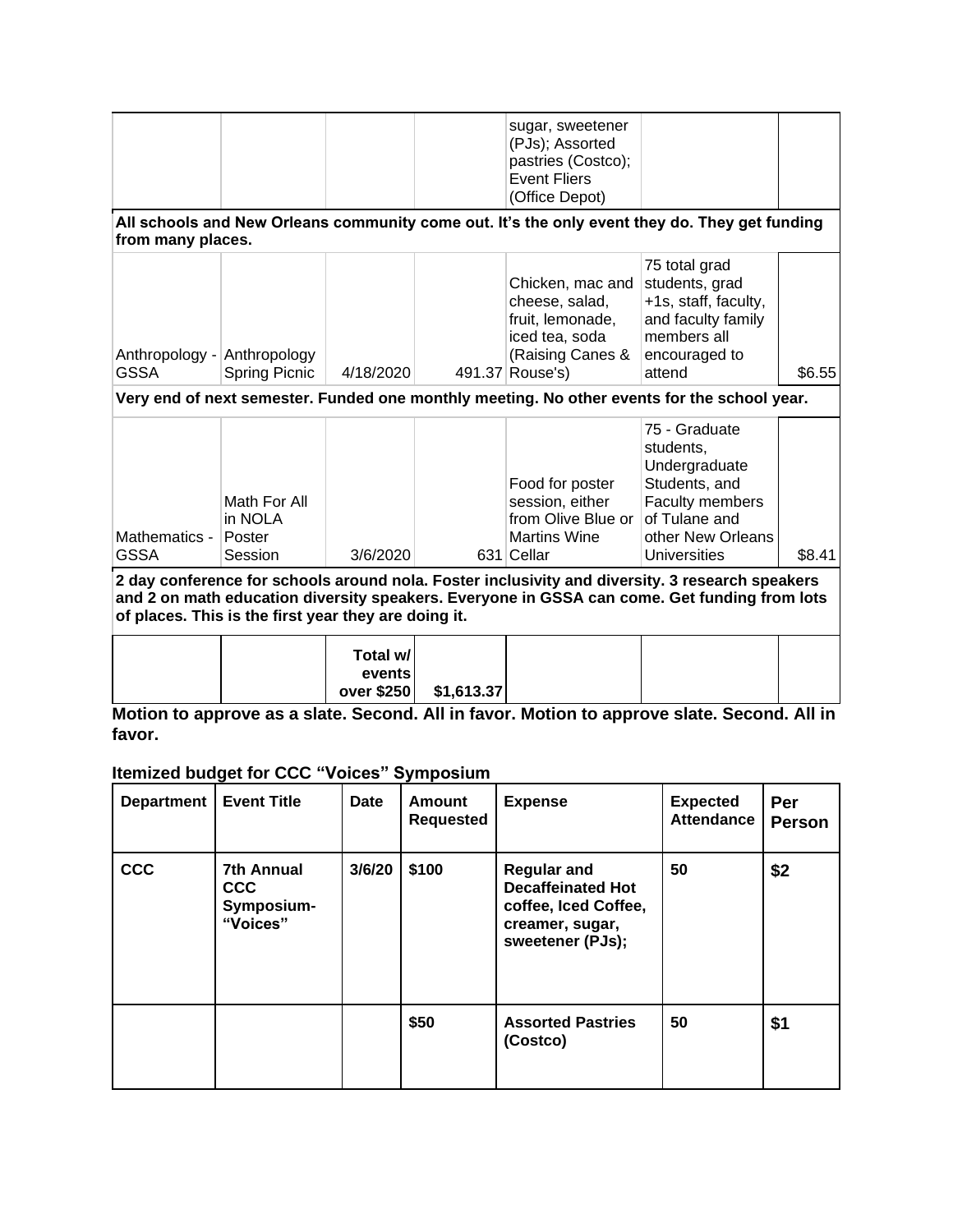| sugar, sweetener<br>(PJs); Assorted<br>pastries (Costco);<br><b>Event Fliers</b><br>(Office Depot)<br>All schools and New Orleans community come out. It's the only event they do. They get funding<br>from many places.<br>75 total grad<br>students, grad<br>Chicken, mac and<br>cheese, salad,<br>+1s, staff, faculty,<br>fruit, lemonade,<br>and faculty family<br>members all<br>iced tea, soda<br>(Raising Canes &<br>Anthropology - Anthropology<br>encouraged to<br><b>GSSA</b><br><b>Spring Picnic</b><br>491.37 Rouse's)<br>4/18/2020<br>attend<br>Very end of next semester. Funded one monthly meeting. No other events for the school year.<br>75 - Graduate<br>students,<br>Undergraduate<br>Students, and<br>Food for poster<br>session, either<br>Faculty members<br>Math For All<br>from Olive Blue or<br>of Tulane and<br>in NOLA<br>Mathematics -<br>other New Orleans<br>Poster<br><b>Martins Wine</b><br><b>GSSA</b><br>3/6/2020<br>631 Cellar<br>Universities<br>Session<br>2 day conference for schools around nola. Foster inclusivity and diversity. 3 research speakers<br>and 2 on math education diversity speakers. Everyone in GSSA can come. Get funding from lots<br>of places. This is the first year they are doing it. |  | Total w/<br>events<br>over \$250 | \$1,613.37 |  |        |
|-----------------------------------------------------------------------------------------------------------------------------------------------------------------------------------------------------------------------------------------------------------------------------------------------------------------------------------------------------------------------------------------------------------------------------------------------------------------------------------------------------------------------------------------------------------------------------------------------------------------------------------------------------------------------------------------------------------------------------------------------------------------------------------------------------------------------------------------------------------------------------------------------------------------------------------------------------------------------------------------------------------------------------------------------------------------------------------------------------------------------------------------------------------------------------------------------------------------------------------------------------------|--|----------------------------------|------------|--|--------|
|                                                                                                                                                                                                                                                                                                                                                                                                                                                                                                                                                                                                                                                                                                                                                                                                                                                                                                                                                                                                                                                                                                                                                                                                                                                           |  |                                  |            |  |        |
|                                                                                                                                                                                                                                                                                                                                                                                                                                                                                                                                                                                                                                                                                                                                                                                                                                                                                                                                                                                                                                                                                                                                                                                                                                                           |  |                                  |            |  | \$8.41 |
|                                                                                                                                                                                                                                                                                                                                                                                                                                                                                                                                                                                                                                                                                                                                                                                                                                                                                                                                                                                                                                                                                                                                                                                                                                                           |  |                                  |            |  |        |
|                                                                                                                                                                                                                                                                                                                                                                                                                                                                                                                                                                                                                                                                                                                                                                                                                                                                                                                                                                                                                                                                                                                                                                                                                                                           |  |                                  |            |  | \$6.55 |
|                                                                                                                                                                                                                                                                                                                                                                                                                                                                                                                                                                                                                                                                                                                                                                                                                                                                                                                                                                                                                                                                                                                                                                                                                                                           |  |                                  |            |  |        |
|                                                                                                                                                                                                                                                                                                                                                                                                                                                                                                                                                                                                                                                                                                                                                                                                                                                                                                                                                                                                                                                                                                                                                                                                                                                           |  |                                  |            |  |        |

**Motion to approve as a slate. Second. All in favor. Motion to approve slate. Second. All in favor.**

## **Itemized budget for CCC "Voices" Symposium**

| <b>Department</b> | <b>Event Title</b>                                        | <b>Date</b> | Amount<br><b>Requested</b> | <b>Expense</b>                                                                                                | <b>Expected</b><br><b>Attendance</b> | Per<br><b>Person</b> |
|-------------------|-----------------------------------------------------------|-------------|----------------------------|---------------------------------------------------------------------------------------------------------------|--------------------------------------|----------------------|
| <b>CCC</b>        | <b>7th Annual</b><br><b>CCC</b><br>Symposium-<br>"Voices" | 3/6/20      | \$100                      | <b>Regular and</b><br><b>Decaffeinated Hot</b><br>coffee, Iced Coffee,<br>creamer, sugar,<br>sweetener (PJs); | 50                                   | \$2                  |
|                   |                                                           |             | \$50                       | <b>Assorted Pastries</b><br>(Costco)                                                                          | 50                                   | \$1                  |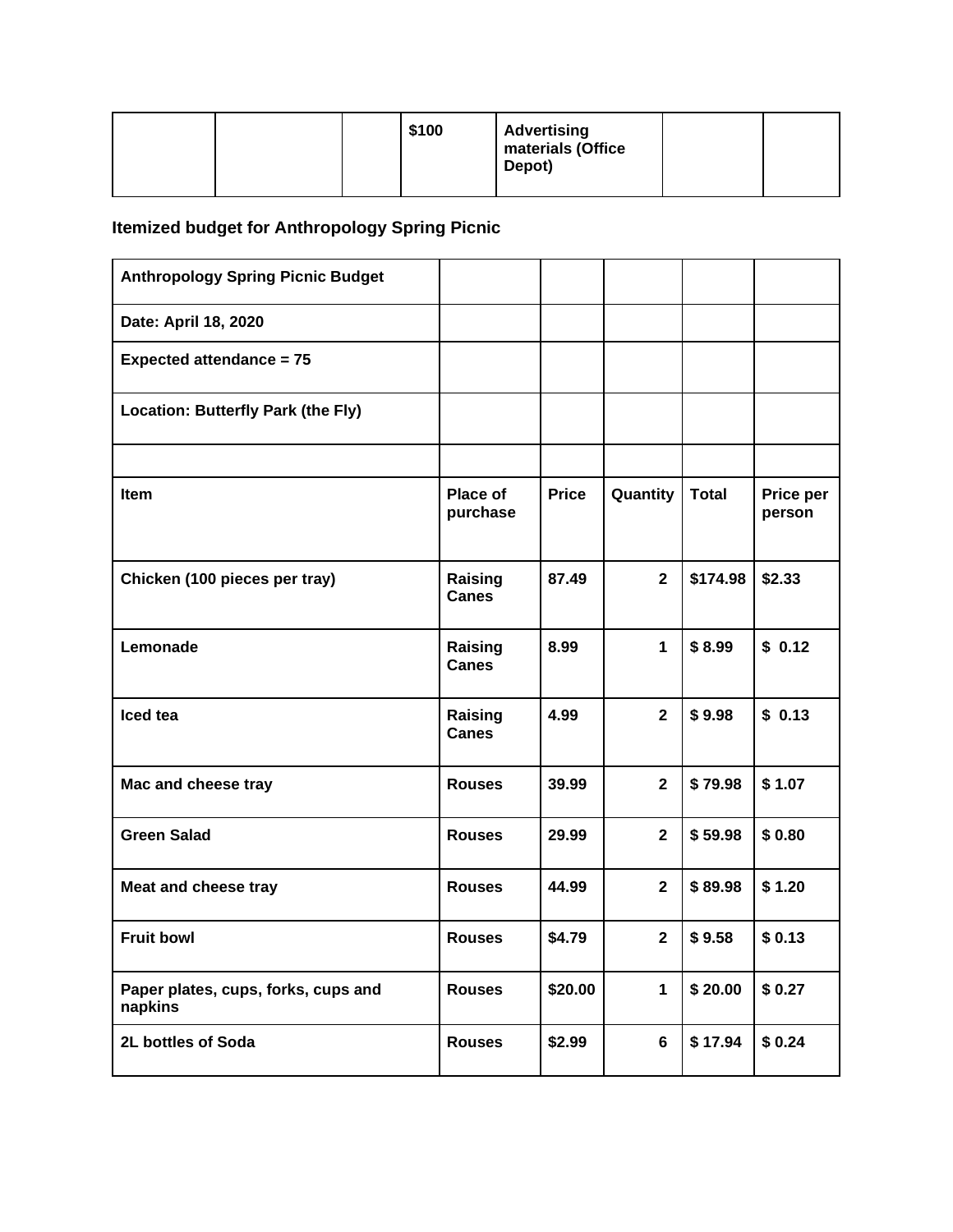|  | \$100 | <b>Advertising</b><br>materials (Office<br>Depot) |  |
|--|-------|---------------------------------------------------|--|
|  |       |                                                   |  |

# **Itemized budget for Anthropology Spring Picnic**

| <b>Anthropology Spring Picnic Budget</b>       |                         |              |                |              |                     |
|------------------------------------------------|-------------------------|--------------|----------------|--------------|---------------------|
| Date: April 18, 2020                           |                         |              |                |              |                     |
| <b>Expected attendance = 75</b>                |                         |              |                |              |                     |
| Location: Butterfly Park (the Fly)             |                         |              |                |              |                     |
|                                                |                         |              |                |              |                     |
| <b>Item</b>                                    | Place of<br>purchase    | <b>Price</b> | Quantity       | <b>Total</b> | Price per<br>person |
| Chicken (100 pieces per tray)                  | Raising<br><b>Canes</b> | 87.49        | $\overline{2}$ | \$174.98     | \$2.33              |
| Lemonade                                       | Raising<br><b>Canes</b> | 8.99         | $\mathbf{1}$   | \$8.99       | \$0.12              |
| Iced tea                                       | Raising<br><b>Canes</b> | 4.99         | $\overline{2}$ | \$9.98       | \$0.13              |
| Mac and cheese tray                            | <b>Rouses</b>           | 39.99        | $\overline{2}$ | \$79.98      | \$1.07              |
| <b>Green Salad</b>                             | <b>Rouses</b>           | 29.99        | $\overline{2}$ | \$59.98      | \$0.80              |
| Meat and cheese tray                           | <b>Rouses</b>           | 44.99        | $\overline{2}$ | \$89.98      | \$1.20              |
| <b>Fruit bowl</b>                              | <b>Rouses</b>           | \$4.79       | $\mathbf{2}$   | \$9.58       | \$0.13              |
| Paper plates, cups, forks, cups and<br>napkins | <b>Rouses</b>           | \$20.00      | $\mathbf{1}$   | \$20.00      | \$0.27              |
| 2L bottles of Soda                             | <b>Rouses</b>           | \$2.99       | 6              | \$17.94      | \$0.24              |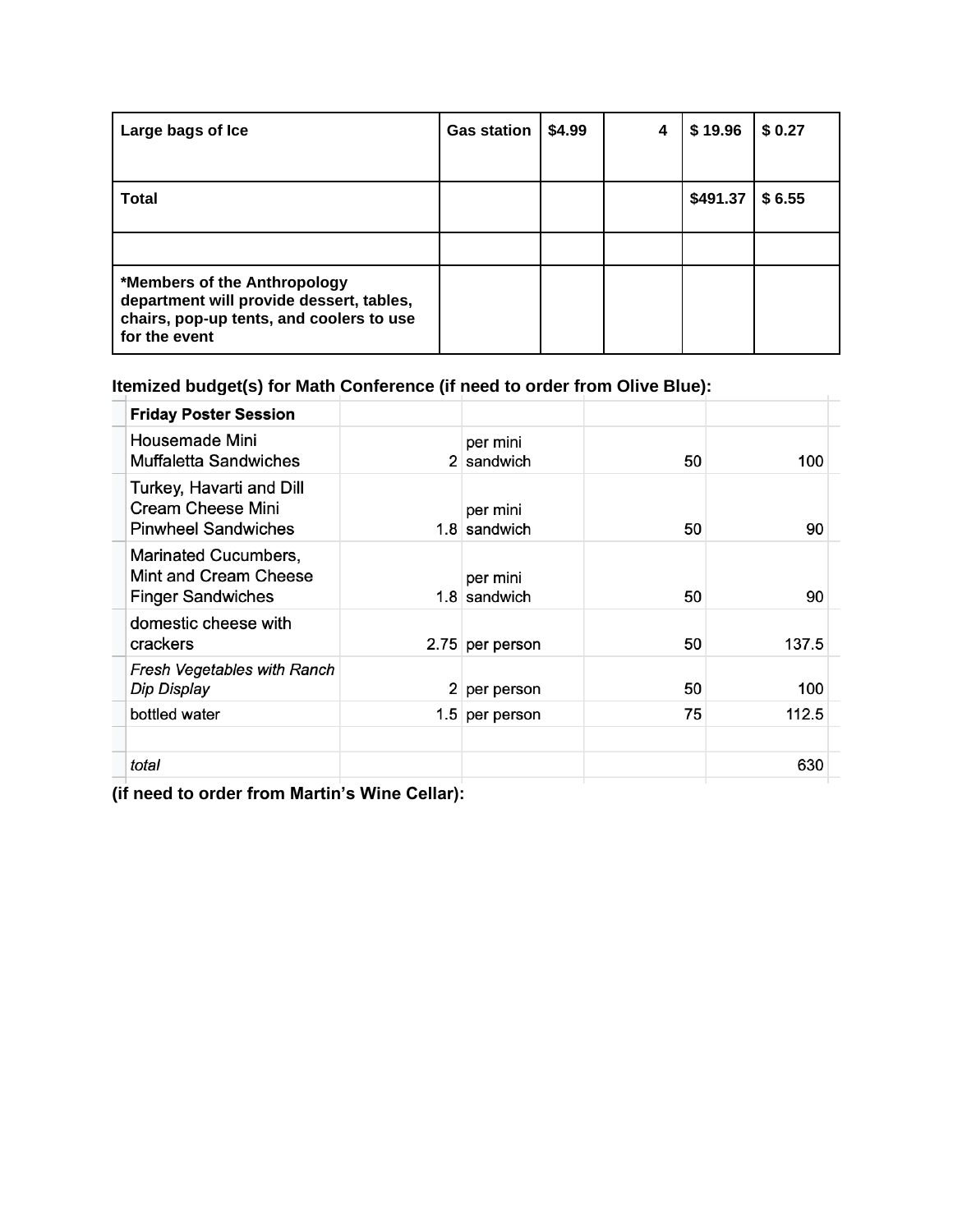| Large bags of Ice                                                                                                                     | <b>Gas station</b> | \$4.99 | 4 | \$19.96  | \$0.27 |
|---------------------------------------------------------------------------------------------------------------------------------------|--------------------|--------|---|----------|--------|
| <b>Total</b>                                                                                                                          |                    |        |   | \$491.37 | \$6.55 |
|                                                                                                                                       |                    |        |   |          |        |
| *Members of the Anthropology<br>department will provide dessert, tables,<br>chairs, pop-up tents, and coolers to use<br>for the event |                    |        |   |          |        |

## **Itemized budget(s) for Math Conference (if need to order from Olive Blue):**

| <b>Friday Poster Session</b>                                                       |                  |                          |    |       |  |
|------------------------------------------------------------------------------------|------------------|--------------------------|----|-------|--|
| Housemade Mini<br>Muffaletta Sandwiches                                            |                  | per mini<br>2 sandwich   | 50 | 100   |  |
| Turkey, Havarti and Dill<br><b>Cream Cheese Mini</b><br><b>Pinwheel Sandwiches</b> |                  | per mini<br>1.8 sandwich | 50 | 90    |  |
| Marinated Cucumbers,<br>Mint and Cream Cheese<br><b>Finger Sandwiches</b>          |                  | per mini<br>1.8 sandwich | 50 | 90    |  |
| domestic cheese with<br>crackers                                                   |                  | 2.75 per person          | 50 | 137.5 |  |
| Fresh Vegetables with Ranch<br>Dip Display                                         | $\overline{2}$   | per person               | 50 | 100   |  |
| bottled water                                                                      | 1.5 <sub>1</sub> | per person               | 75 | 112.5 |  |
|                                                                                    |                  |                          |    |       |  |
| total                                                                              |                  |                          |    | 630   |  |
|                                                                                    |                  |                          |    |       |  |

**(if need to order from Martin's Wine Cellar):**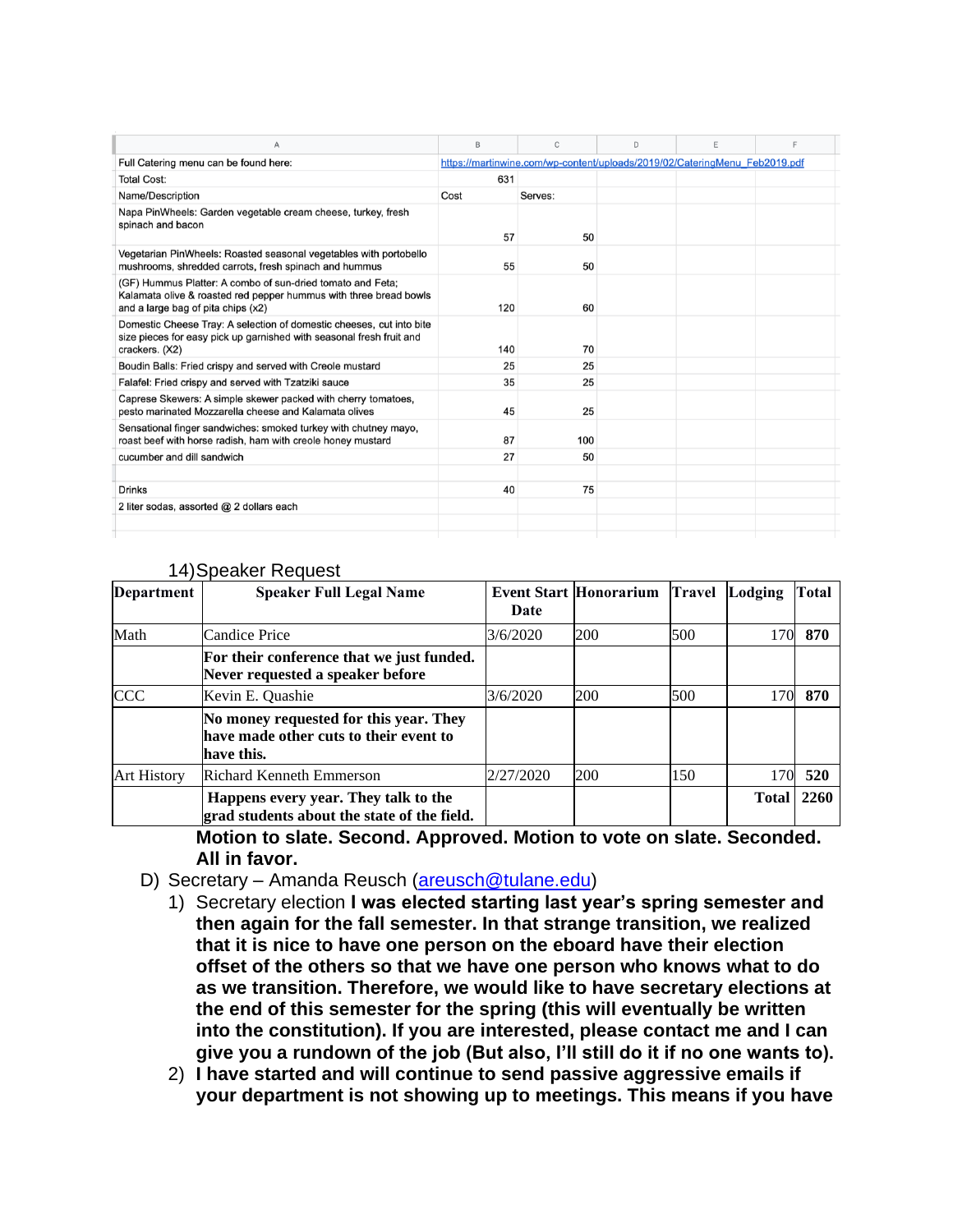| A                                                                                                                                                                     | B    | C                                                                          | D | E | E |  |
|-----------------------------------------------------------------------------------------------------------------------------------------------------------------------|------|----------------------------------------------------------------------------|---|---|---|--|
| Full Catering menu can be found here:                                                                                                                                 |      | https://martinwine.com/wp-content/uploads/2019/02/CateringMenu Feb2019.pdf |   |   |   |  |
| <b>Total Cost:</b>                                                                                                                                                    | 631  |                                                                            |   |   |   |  |
| Name/Description                                                                                                                                                      | Cost | Serves:                                                                    |   |   |   |  |
| Napa PinWheels: Garden vegetable cream cheese, turkey, fresh<br>spinach and bacon                                                                                     | 57   | 50                                                                         |   |   |   |  |
| Vegetarian PinWheels: Roasted seasonal vegetables with portobello<br>mushrooms, shredded carrots, fresh spinach and hummus                                            | 55   | 50                                                                         |   |   |   |  |
| (GF) Hummus Platter: A combo of sun-dried tomato and Feta;<br>Kalamata olive & roasted red pepper hummus with three bread bowls<br>and a large bag of pita chips (x2) | 120  | 60                                                                         |   |   |   |  |
| Domestic Cheese Tray: A selection of domestic cheeses, cut into bite<br>size pieces for easy pick up garnished with seasonal fresh fruit and<br>crackers. (X2)        | 140  | 70                                                                         |   |   |   |  |
| Boudin Balls: Fried crispy and served with Creole mustard                                                                                                             | 25   | 25                                                                         |   |   |   |  |
| Falafel: Fried crispy and served with Tzatziki sauce                                                                                                                  | 35   | 25                                                                         |   |   |   |  |
| Caprese Skewers: A simple skewer packed with cherry tomatoes,<br>pesto marinated Mozzarella cheese and Kalamata olives                                                | 45   | 25                                                                         |   |   |   |  |
| Sensational finger sandwiches: smoked turkey with chutney mayo,<br>roast beef with horse radish, ham with creole honey mustard                                        | 87   | 100                                                                        |   |   |   |  |
| cucumber and dill sandwich                                                                                                                                            | 27   | 50                                                                         |   |   |   |  |
|                                                                                                                                                                       |      |                                                                            |   |   |   |  |
| <b>Drinks</b>                                                                                                                                                         | 40   | 75                                                                         |   |   |   |  |
| 2 liter sodas, assorted @ 2 dollars each                                                                                                                              |      |                                                                            |   |   |   |  |
|                                                                                                                                                                       |      |                                                                            |   |   |   |  |
|                                                                                                                                                                       |      |                                                                            |   |   |   |  |

| <b>Department</b>  | <b>Speaker Full Legal Name</b>                                                                 | Date      | <b>Event Start Honorarium</b> | <b>Travel</b> | Lodging      | Total |
|--------------------|------------------------------------------------------------------------------------------------|-----------|-------------------------------|---------------|--------------|-------|
| Math               | <b>Candice Price</b>                                                                           | 3/6/2020  | 200                           | 500           | 170          | 870   |
|                    | For their conference that we just funded.<br>Never requested a speaker before                  |           |                               |               |              |       |
| <b>CCC</b>         | Kevin E. Quashie                                                                               | 3/6/2020  | 200                           | 500           | 170          | 870   |
|                    | No money requested for this year. They<br>have made other cuts to their event to<br>have this. |           |                               |               |              |       |
| <b>Art History</b> | <b>Richard Kenneth Emmerson</b>                                                                | 2/27/2020 | 200                           | 150           | 170          | 520   |
|                    | Happens every year. They talk to the<br>grad students about the state of the field.            |           |                               |               | <b>Total</b> | 2260  |

#### 14)Speaker Request

**Motion to slate. Second. Approved. Motion to vote on slate. Seconded. All in favor.** 

- D) Secretary Amanda Reusch [\(areusch@tulane.edu\)](mailto:areusch@tulane.edu)
	- 1) Secretary election **I was elected starting last year's spring semester and then again for the fall semester. In that strange transition, we realized that it is nice to have one person on the eboard have their election offset of the others so that we have one person who knows what to do as we transition. Therefore, we would like to have secretary elections at the end of this semester for the spring (this will eventually be written into the constitution). If you are interested, please contact me and I can give you a rundown of the job (But also, I'll still do it if no one wants to).**
	- 2) **I have started and will continue to send passive aggressive emails if your department is not showing up to meetings. This means if you have**